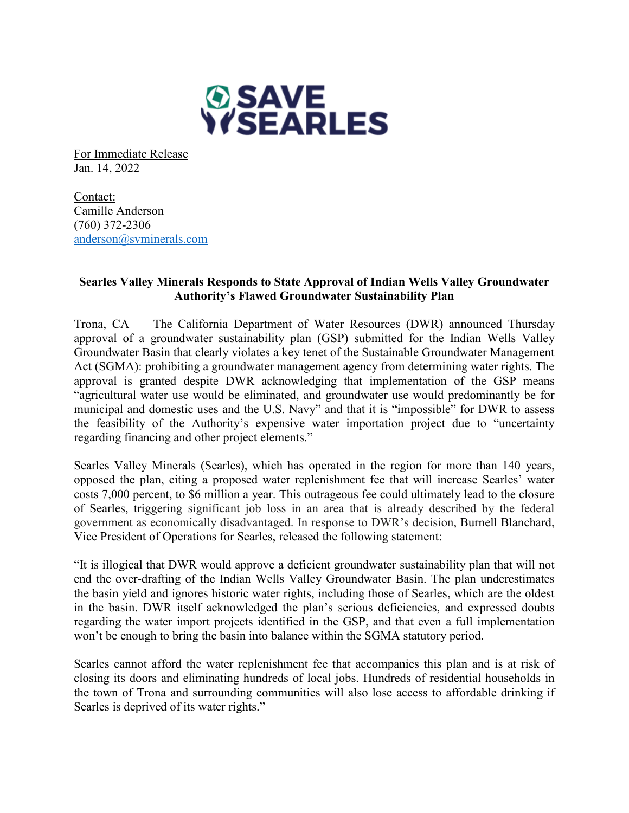

For Immediate Release Jan. 14, 2022

Contact: Camille Anderson (760) 372-2306 anderson@svminerals.com

## **Searles Valley Minerals Responds to State Approval of Indian Wells Valley Groundwater Authority's Flawed Groundwater Sustainability Plan**

Trona, CA — The California Department of Water Resources (DWR) announced Thursday approval of a groundwater sustainability plan (GSP) submitted for the Indian Wells Valley Groundwater Basin that clearly violates a key tenet of the Sustainable Groundwater Management Act (SGMA): prohibiting a groundwater management agency from determining water rights. The approval is granted despite DWR acknowledging that implementation of the GSP means "agricultural water use would be eliminated, and groundwater use would predominantly be for municipal and domestic uses and the U.S. Navy" and that it is "impossible" for DWR to assess the feasibility of the Authority's expensive water importation project due to "uncertainty regarding financing and other project elements."

Searles Valley Minerals (Searles), which has operated in the region for more than 140 years, opposed the plan, citing a proposed water replenishment fee that will increase Searles' water costs 7,000 percent, to \$6 million a year. This outrageous fee could ultimately lead to the closure of Searles, triggering significant job loss in an area that is already described by the federal government as economically disadvantaged. In response to DWR's decision, Burnell Blanchard, Vice President of Operations for Searles, released the following statement:

"It is illogical that DWR would approve a deficient groundwater sustainability plan that will not end the over-drafting of the Indian Wells Valley Groundwater Basin. The plan underestimates the basin yield and ignores historic water rights, including those of Searles, which are the oldest in the basin. DWR itself acknowledged the plan's serious deficiencies, and expressed doubts regarding the water import projects identified in the GSP, and that even a full implementation won't be enough to bring the basin into balance within the SGMA statutory period.

Searles cannot afford the water replenishment fee that accompanies this plan and is at risk of closing its doors and eliminating hundreds of local jobs. Hundreds of residential households in the town of Trona and surrounding communities will also lose access to affordable drinking if Searles is deprived of its water rights."